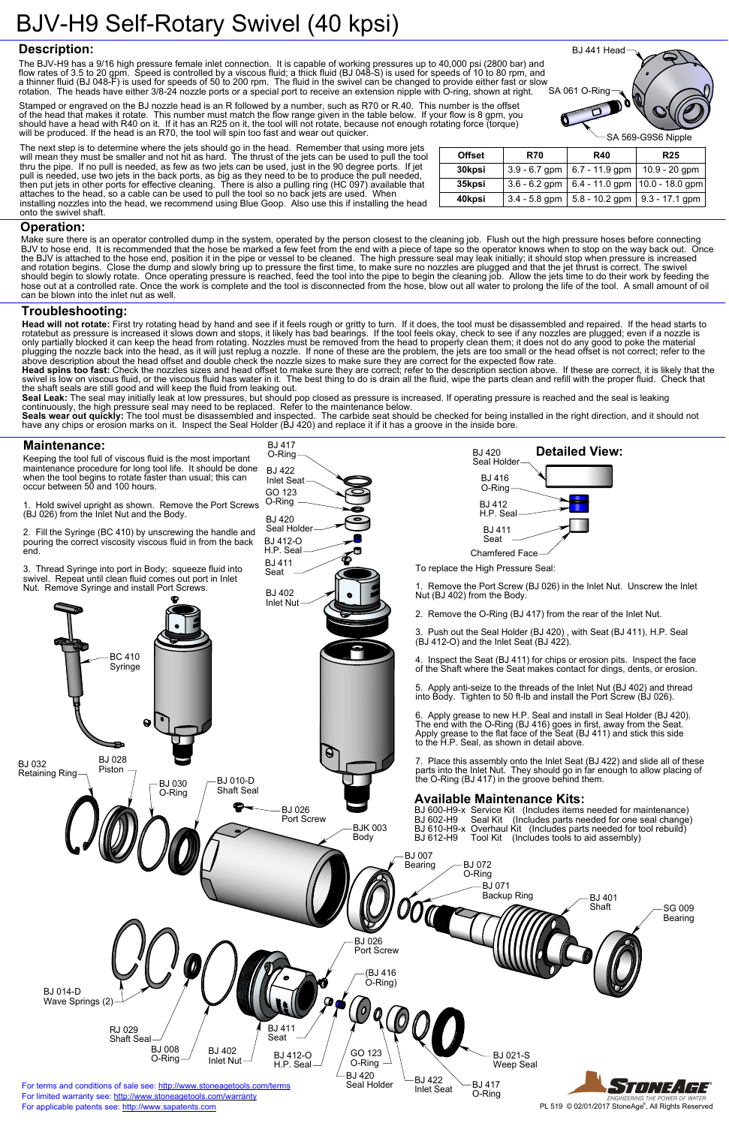2. Fill the Syringe (BC 410) by unscrewing the handle and pouring the correct viscosity viscous fluid in from the back end.

3. Thread Syringe into port in Body; squeeze fluid into swivel. Repeat until clean fluid comes out port in Inlet Nut. Remove Syringe and install Port Screws.

To replace the High Pressure Seal:

1. Remove the Port Screw (BJ 026) in the Inlet Nut. Unscrew the Inlet

SA 061 O-Ring The BJV-H9 has a 9/16 high pressure female inlet connection. It is capable of working pressures up to 40,000 psi (2800 bar) and flow rates of 3.5 to 20 gpm. Speed is controlled by a viscous fluid; a thick fluid (BJ 048-S) is used for speeds of 10 to 80 rpm, and a thinner fluid (BJ 048-F) is used for speeds of 50 to 200 rpm. The fluid in the swivel can be changed to provide either fast or slow rotation. The heads have either 3/8-24 nozzle ports or a special port to receive an extension nipple with O-ring, shown at right.

Keeping the tool full of viscous fluid is the most important maintenance procedure for long tool life. It should be done when the tool begins to rotate faster than usual; this can occur between 50 and 100 hours. O-Ring BJ 422 Inlet Seat GO 123

1. Hold swivel upright as shown. Remove the Port Screws (BJ 026) from the Inlet Nut and the Body. O-Ring

Head will not rotate: First try rotating head by hand and see if it feels rough or gritty to turn. If it does, the tool must be disassembled and repaired. If the head starts to rotatebut as pressure is increased it slows down and stops, it likely has bad bearings. If the tool feels okay, check to see if any nozzles are plugged; even if a nozzle is only partially blocked it can keep the head from rotating. Nozzles must be removed from the head to properly clean them; it does not do any good to poke the material plugging the nozzle back into the head, as it will just replug a nozzle. If none of these are the problem, the jets are too small or the head offset is not correct; refer to the above description about the head offset and double check the nozzle sizes to make sure they are correct for the expected flow rate.

BJ 417

BJ 412-O H.P. Seal BJ 411 Seat

BJ 420 Seal Holder



BJ 441 Head

#### **Operation:**

#### **Troubleshooting:**

### **Maintenance:**

**Head spins too fast:** Check the nozzles sizes and head offset to make sure they are correct; refer to the description section above. If these are correct, it is likely that the swivel is low on viscous fluid, or the viscous fluid has water in it. The best thing to do is drain all the fluid, wipe the parts clean and refill with the proper fluid. Check that the shaft seals are still good and will keep the fluid from leaking out.

**Seal Leak:** The seal may initially leak at low pressures, but should pop closed as pressure is increased. If operating pressure is reached and the seal is leaking continuously, the high pressure seal may need to be replaced. Refer to the maintenance below.

**Seals wear out quickly:** The tool must be disassembled and inspected. The carbide seat should be checked for being installed in the right direction, and it should not have any chips or erosion marks on it. Inspect the Seal Holder (BJ 420) and replace it if it has a groove in the inside bore.



|               |                 | $\searrow$ SA 569-G9S6 Nipple |                                   |  |
|---------------|-----------------|-------------------------------|-----------------------------------|--|
| <b>Offset</b> | <b>R70</b>      | <b>R40</b>                    | <b>R25</b>                        |  |
| 30kpsi        | $3.9 - 6.7$ gpm | $6.7 - 11.9$ gpm              | $10.9 - 20$ gpm                   |  |
| 35kpsi        | $3.6 - 6.2$ gpm |                               | 6.4 - 11.0 gpm $ 10.0 - 18.0$ gpm |  |
| 40kpsi        | $3.4 - 5.8$ gpm | $5.8 - 10.2$ gpm              | $9.3 - 17.1$ gpm                  |  |

Make sure there is an operator controlled dump in the system, operated by the person closest to the cleaning job. Flush out the high pressure hoses before connecting BJV to hose end. It is recommended that the hose be marked a few feet from the end with a piece of tape so the operator knows when to stop on the way back out. Once the BJV is attached to the hose end, position it in the pipe or vessel to be cleaned. The high pressure seal may leak initially; it should stop when pressure is increased and rotation begins. Close the dump and slowly bring up to pressure the first time, to make sure no nozzles are plugged and that the jet thrust is correct. The swivel should begin to slowly rotate. Once operating pressure is reached, feed the tool into the pipe to begin the cleaning job. Allow the jets time to do their work by feeding the hose out at a controlled rate. Once the work is complete and the tool is disconnected from the hose, blow out all water to prolong the life of the tool. A small amount of oil can be blown into the inlet nut as well.

The next step is to determine where the jets should go in the head. Remember that using more jets will mean they must be smaller and not hit as hard. The thrust of the jets can be used to pull the tool thru the pipe. If no pull is needed, as few as two jets can be used, just in the 90 degree ports. If jet pull is needed, use two jets in the back ports, as big as they need to be to produce the pull needed, then put jets in other ports for effective cleaning. There is also a pulling ring (HC 097) available that attaches to the head, so a cable can be used to pull the tool so no back jets are used. When installing nozzles into the head, we recommend using Blue Goop. Also use this if installing the head onto the swivel shaft.

# **Description:**

Stamped or engraved on the BJ nozzle head is an R followed by a number, such as R70 or R.40. This number is the offset of the head that makes it rotate. This number must match the flow range given in the table below. If your flow is 8 gpm, you should have a head with R40 on it. If it has an R25 on it, the tool will not rotate, because not enough rotating force (torque) will be produced. If the head is an R70, the tool will spin too fast and wear out quicker.